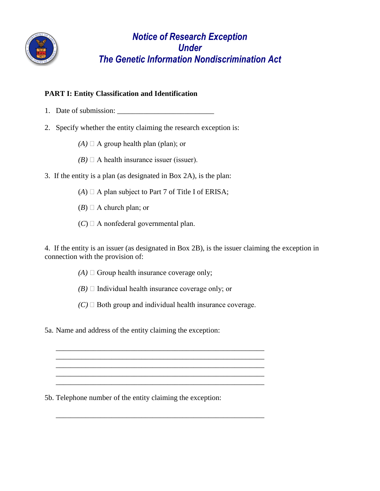

# *Notice of Research Exception Under The Genetic Information Nondiscrimination Act*

## **PART I: Entity Classification and Identification**

- 1. Date of submission: \_\_\_\_\_\_\_\_\_\_\_\_\_\_\_\_\_\_\_\_\_\_\_\_\_\_
- 2. Specify whether the entity claiming the research exception is:
	- $(A)$   $\Box$  A group health plan (plan); or
	- $(B)$   $\Box$  A health insurance issuer (issuer).
- 3. If the entity is a plan (as designated in Box 2A), is the plan:
	- $(A)$   $\Box$  A plan subject to Part 7 of Title I of ERISA;
	- $(B)$   $\Box$  A church plan; or
	- $(C) \square$  A nonfederal governmental plan.

4. If the entity is an issuer (as designated in Box 2B), is the issuer claiming the exception in connection with the provision of:

- $(A) \square$  Group health insurance coverage only;
- $(B)$   $\Box$  Individual health insurance coverage only; or
- $(C)$   $\Box$  Both group and individual health insurance coverage.

\_\_\_\_\_\_\_\_\_\_\_\_\_\_\_\_\_\_\_\_\_\_\_\_\_\_\_\_\_\_\_\_\_\_\_\_\_\_\_\_\_\_\_\_\_\_\_\_\_\_\_\_\_\_\_\_ \_\_\_\_\_\_\_\_\_\_\_\_\_\_\_\_\_\_\_\_\_\_\_\_\_\_\_\_\_\_\_\_\_\_\_\_\_\_\_\_\_\_\_\_\_\_\_\_\_\_\_\_\_\_\_\_

> \_\_\_\_\_\_\_\_\_\_\_\_\_\_\_\_\_\_\_\_\_\_\_\_\_\_\_\_\_\_\_\_\_\_\_\_\_\_\_\_\_\_\_\_\_\_\_\_\_\_\_\_\_\_\_\_  $\mathcal{L}_\text{max}$  and  $\mathcal{L}_\text{max}$  and  $\mathcal{L}_\text{max}$  and  $\mathcal{L}_\text{max}$  and  $\mathcal{L}_\text{max}$  and  $\mathcal{L}_\text{max}$

\_\_\_\_\_\_\_\_\_\_\_\_\_\_\_\_\_\_\_\_\_\_\_\_\_\_\_\_\_\_\_\_\_\_\_\_\_\_\_\_\_\_\_\_\_\_\_\_\_\_\_\_\_\_\_\_

\_\_\_\_\_\_\_\_\_\_\_\_\_\_\_\_\_\_\_\_\_\_\_\_\_\_\_\_\_\_\_\_\_\_\_\_\_\_\_\_\_\_\_\_\_\_\_\_\_\_\_\_\_\_\_\_

5a. Name and address of the entity claiming the exception:

5b. Telephone number of the entity claiming the exception: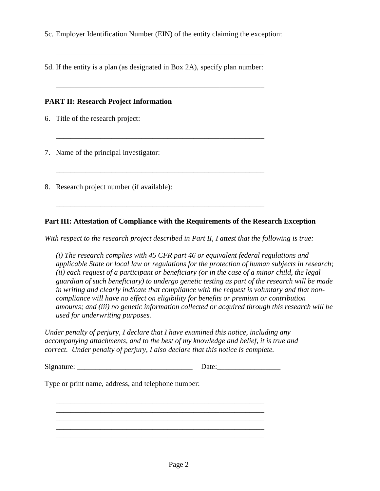5c. Employer Identification Number (EIN) of the entity claiming the exception:

5d. If the entity is a plan (as designated in Box 2A), specify plan number:

\_\_\_\_\_\_\_\_\_\_\_\_\_\_\_\_\_\_\_\_\_\_\_\_\_\_\_\_\_\_\_\_\_\_\_\_\_\_\_\_\_\_\_\_\_\_\_\_\_\_\_\_\_\_\_\_

 $\overline{\phantom{a}}$  ,  $\overline{\phantom{a}}$  ,  $\overline{\phantom{a}}$  ,  $\overline{\phantom{a}}$  ,  $\overline{\phantom{a}}$  ,  $\overline{\phantom{a}}$  ,  $\overline{\phantom{a}}$  ,  $\overline{\phantom{a}}$  ,  $\overline{\phantom{a}}$  ,  $\overline{\phantom{a}}$  ,  $\overline{\phantom{a}}$  ,  $\overline{\phantom{a}}$  ,  $\overline{\phantom{a}}$  ,  $\overline{\phantom{a}}$  ,  $\overline{\phantom{a}}$  ,  $\overline{\phantom{a}}$ 

\_\_\_\_\_\_\_\_\_\_\_\_\_\_\_\_\_\_\_\_\_\_\_\_\_\_\_\_\_\_\_\_\_\_\_\_\_\_\_\_\_\_\_\_\_\_\_\_\_\_\_\_\_\_\_\_

\_\_\_\_\_\_\_\_\_\_\_\_\_\_\_\_\_\_\_\_\_\_\_\_\_\_\_\_\_\_\_\_\_\_\_\_\_\_\_\_\_\_\_\_\_\_\_\_\_\_\_\_\_\_\_\_

\_\_\_\_\_\_\_\_\_\_\_\_\_\_\_\_\_\_\_\_\_\_\_\_\_\_\_\_\_\_\_\_\_\_\_\_\_\_\_\_\_\_\_\_\_\_\_\_\_\_\_\_\_\_\_\_

#### **PART II: Research Project Information**

6. Title of the research project:

7. Name of the principal investigator:

8. Research project number (if available):

### **Part III: Attestation of Compliance with the Requirements of the Research Exception**

*With respect to the research project described in Part II, I attest that the following is true:* 

 *(i) The research complies with 45 CFR part 46 or equivalent federal regulations and applicable State or local law or regulations for the protection of human subjects in research; (ii) each request of a participant or beneficiary (or in the case of a minor child, the legal guardian of such beneficiary) to undergo genetic testing as part of the research will be made in writing and clearly indicate that compliance with the request is voluntary and that noncompliance will have no effect on eligibility for benefits or premium or contribution amounts; and (iii) no genetic information collected or acquired through this research will be used for underwriting purposes.* 

*Under penalty of perjury, I declare that I have examined this notice, including any accompanying attachments, and to the best of my knowledge and belief, it is true and correct. Under penalty of perjury, I also declare that this notice is complete.* 

\_\_\_\_\_\_\_\_\_\_\_\_\_\_\_\_\_\_\_\_\_\_\_\_\_\_\_\_\_\_\_\_\_\_\_\_\_\_\_\_\_\_\_\_\_\_\_\_\_\_\_\_\_\_\_\_ \_\_\_\_\_\_\_\_\_\_\_\_\_\_\_\_\_\_\_\_\_\_\_\_\_\_\_\_\_\_\_\_\_\_\_\_\_\_\_\_\_\_\_\_\_\_\_\_\_\_\_\_\_\_\_\_

\_\_\_\_\_\_\_\_\_\_\_\_\_\_\_\_\_\_\_\_\_\_\_\_\_\_\_\_\_\_\_\_\_\_\_\_\_\_\_\_\_\_\_\_\_\_\_\_\_\_\_\_\_\_\_\_

\_\_\_\_\_\_\_\_\_\_\_\_\_\_\_\_\_\_\_\_\_\_\_\_\_\_\_\_\_\_\_\_\_\_\_\_\_\_\_\_\_\_\_\_\_\_\_\_\_\_\_\_\_\_\_\_

| Signature: |  |
|------------|--|
|            |  |

Type or print name, address, and telephone number: